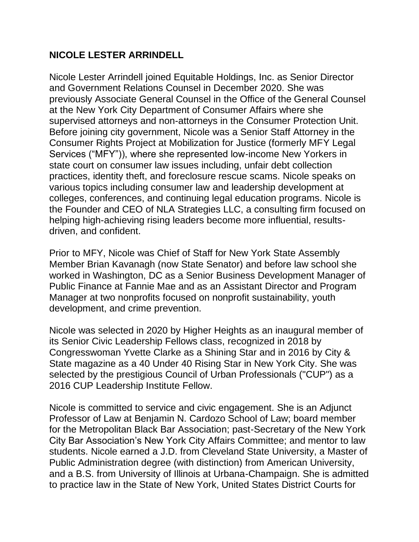## **NICOLE LESTER ARRINDELL**

Nicole Lester Arrindell joined Equitable Holdings, Inc. as Senior Director and Government Relations Counsel in December 2020. She was previously Associate General Counsel in the Office of the General Counsel at the New York City Department of Consumer Affairs where she supervised attorneys and non-attorneys in the Consumer Protection Unit. Before joining city government, Nicole was a Senior Staff Attorney in the Consumer Rights Project at Mobilization for Justice (formerly MFY Legal Services ("MFY")), where she represented low-income New Yorkers in state court on consumer law issues including, unfair debt collection practices, identity theft, and foreclosure rescue scams. Nicole speaks on various topics including consumer law and leadership development at colleges, conferences, and continuing legal education programs. Nicole is the Founder and CEO of NLA Strategies LLC, a consulting firm focused on helping high-achieving rising leaders become more influential, resultsdriven, and confident.

Prior to MFY, Nicole was Chief of Staff for New York State Assembly Member Brian Kavanagh (now State Senator) and before law school she worked in Washington, DC as a Senior Business Development Manager of Public Finance at Fannie Mae and as an Assistant Director and Program Manager at two nonprofits focused on nonprofit sustainability, youth development, and crime prevention.

Nicole was selected in 2020 by Higher Heights as an inaugural member of its Senior Civic Leadership Fellows class, recognized in 2018 by Congresswoman Yvette Clarke as a Shining Star and in 2016 by City & State magazine as a 40 Under 40 Rising Star in New York City. She was selected by the prestigious Council of Urban Professionals ("CUP") as a 2016 CUP Leadership Institute Fellow.

Nicole is committed to service and civic engagement. She is an Adjunct Professor of Law at Benjamin N. Cardozo School of Law; board member for the Metropolitan Black Bar Association; past-Secretary of the New York City Bar Association's New York City Affairs Committee; and mentor to law students. Nicole earned a J.D. from Cleveland State University, a Master of Public Administration degree (with distinction) from American University, and a B.S. from University of Illinois at Urbana-Champaign. She is admitted to practice law in the State of New York, United States District Courts for